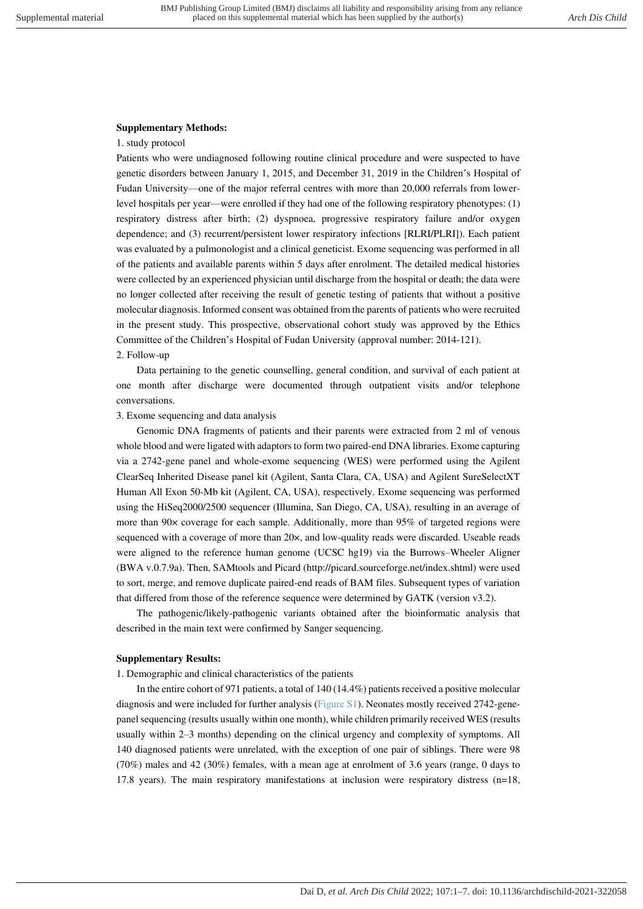## **Supplementary Methods:**

## 1. study protocol

Patients who were undiagnosed following routine clinical procedure and were suspected to have genetic disorders between January 1, 2015, and December 31, 2019 in the Children's Hospital of Fudan University—one of the major referral centres with more than 20,000 referrals from lowerlevel hospitals per year—were enrolled if they had one of the following respiratory phenotypes: (1) respiratory distress after birth; (2) dyspnoea, progressive respiratory failure and/or oxygen dependence; and (3) recurrent/persistent lower respiratory infections [RLRI/PLRI]). Each patient was evaluated by a pulmonologist and a clinical geneticist. Exome sequencing was performed in all of the patients and available parents within 5 days after enrolment. The detailed medical histories were collected by an experienced physician until discharge from the hospital or death; the data were no longer collected after receiving the result of genetic testing of patients that without a positive molecular diagnosis. Informed consent was obtained from the parents of patients who were recruited in the present study. This prospective, observational cohort study was approved by the Ethics Committee of the Children's Hospital of Fudan University (approval number: 2014-121). 2. Follow-up

Data pertaining to the genetic counselling, general condition, and survival of each patient at one month after discharge were documented through outpatient visits and/or telephone conversations.

## 3. Exome sequencing and data analysis

Genomic DNA fragments of patients and their parents were extracted from 2 ml of venous whole blood and were ligated with adaptors to form two paired-end DNA libraries. Exome capturing via a 2742-gene panel and whole-exome sequencing (WES) were performed using the Agilent ClearSeq Inherited Disease panel kit (Agilent, Santa Clara, CA, USA) and Agilent SureSelectXT Human All Exon 50-Mb kit (Agilent, CA, USA), respectively. Exome sequencing was performed using the HiSeq2000/2500 sequencer (Illumina, San Diego, CA, USA), resulting in an average of more than 90× coverage for each sample. Additionally, more than 95% of targeted regions were sequenced with a coverage of more than 20×, and low-quality reads were discarded. Useable reads were aligned to the reference human genome (UCSC hg19) via the Burrows–Wheeler Aligner (BWA v.0.7.9a). Then, SAMtools and Picard (http://picard.sourceforge.net/index.shtml) were used to sort, merge, and remove duplicate paired-end reads of BAM files. Subsequent types of variation that differed from those of the reference sequence were determined by GATK (version v3.2).

The pathogenic/likely-pathogenic variants obtained after the bioinformatic analysis that described in the main text were confirmed by Sanger sequencing.

## **Supplementary Results:**

1. Demographic and clinical characteristics of the patients

In the entire cohort of 971 patients, a total of 140 (14.4%) patients received a positive molecular diagnosis and were included for further analysis (Figure S1). Neonates mostly received 2742-genepanel sequencing (results usually within one month), while children primarily received WES (results usually within 2–3 months) depending on the clinical urgency and complexity of symptoms. All 140 diagnosed patients were unrelated, with the exception of one pair of siblings. There were 98 (70%) males and 42 (30%) females, with a mean age at enrolment of 3.6 years (range, 0 days to 17.8 years). The main respiratory manifestations at inclusion were respiratory distress (n=18,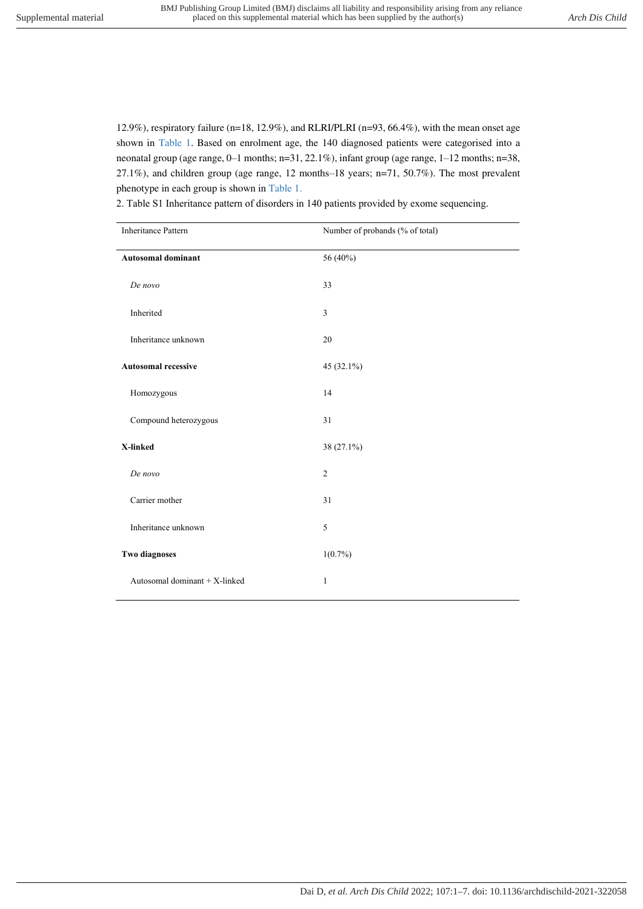12.9%), respiratory failure (n=18, 12.9%), and RLRI/PLRI (n=93, 66.4%), with the mean onset age shown in Table 1. Based on enrolment age, the 140 diagnosed patients were categorised into a neonatal group (age range, 0–1 months; n=31, 22.1%), infant group (age range, 1–12 months; n=38, 27.1%), and children group (age range, 12 months–18 years; n=71, 50.7%). The most prevalent phenotype in each group is shown in Table 1.

| <b>Inheritance Pattern</b>    | Number of probands (% of total) |
|-------------------------------|---------------------------------|
| <b>Autosomal dominant</b>     | 56 (40%)                        |
| De novo                       | 33                              |
| Inherited                     | 3                               |
| Inheritance unknown           | 20                              |
| <b>Autosomal recessive</b>    | 45 (32.1%)                      |
| Homozygous                    | 14                              |
| Compound heterozygous         | 31                              |
| X-linked                      | 38 (27.1%)                      |
| De novo                       | $\overline{2}$                  |
| Carrier mother                | 31                              |
| Inheritance unknown           | 5                               |
| <b>Two diagnoses</b>          | $1(0.7\%)$                      |
| Autosomal dominant + X-linked | 1                               |

2. Table S1 Inheritance pattern of disorders in 140 patients provided by exome sequencing.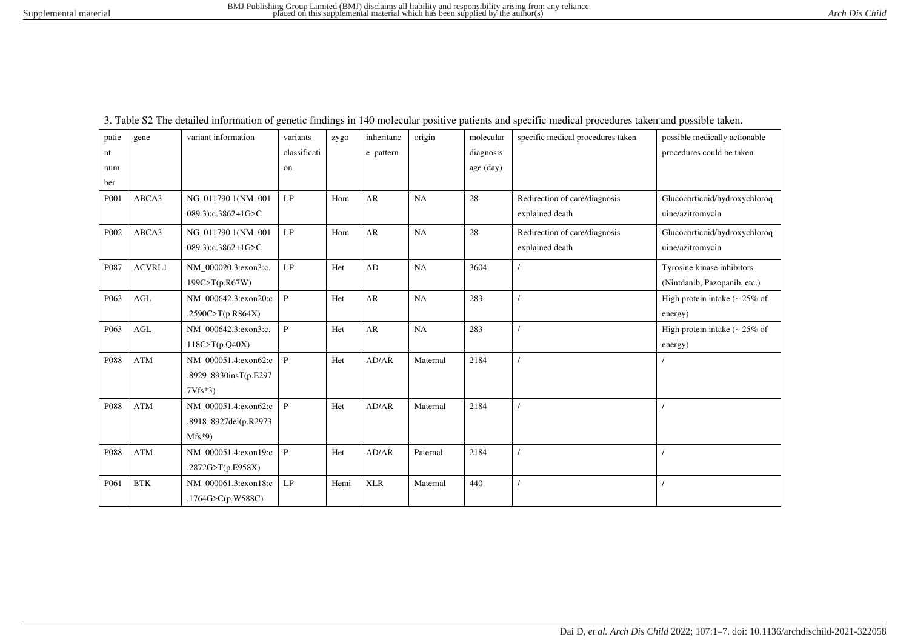| patie            | gene                 | variant information   | variants                   | zygo | inheritanc | origin   | molecular | specific medical procedures taken | possible medically actionable      |
|------------------|----------------------|-----------------------|----------------------------|------|------------|----------|-----------|-----------------------------------|------------------------------------|
| nt               |                      |                       | classificati               |      | e pattern  |          | diagnosis |                                   | procedures could be taken          |
| num              |                      |                       | on                         |      |            |          | age (day) |                                   |                                    |
| ber              |                      |                       |                            |      |            |          |           |                                   |                                    |
| P001             | ABCA3                | NG 011790.1(NM 001    | LP                         | Hom  | AR         | NA       | 28        | Redirection of care/diagnosis     | Glucocorticoid/hydroxychloroq      |
|                  |                      | 089.3):c.3862+1G>C    |                            |      |            |          |           | explained death                   | uine/azitromycin                   |
| P002             | ABCA3                | NG 011790.1(NM 001    | $\ensuremath{\mathrm{LP}}$ | Hom  | AR         | NA       | 28        | Redirection of care/diagnosis     | Glucocorticoid/hydroxychloroq      |
|                  |                      | 089.3):c.3862+1G>C    |                            |      |            |          |           | explained death                   | uine/azitromycin                   |
| P087             | ACVRL1               | NM 000020.3:exon3:c.  | LP                         | Het  | AD         | NA       | 3604      |                                   | Tyrosine kinase inhibitors         |
|                  |                      | 199C>T(p.R67W)        |                            |      |            |          |           |                                   | (Nintdanib, Pazopanib, etc.)       |
| P <sub>063</sub> | $\operatorname{AGL}$ | NM_000642.3:exon20:c  | $\, {\bf P}$               | Het  | ${\sf AR}$ | NA       | 283       |                                   | High protein intake $\sim 25\%$ of |
|                  |                      | .2590C>T(p.R864X)     |                            |      |            |          |           |                                   | energy)                            |
| P <sub>063</sub> | <b>AGL</b>           | NM_000642.3:exon3:c.  | ${\bf P}$                  | Het  | AR         | NA       | 283       |                                   | High protein intake $\sim 25\%$ of |
|                  |                      | 118C > T(p.Q40X)      |                            |      |            |          |           |                                   | energy)                            |
| P088             | <b>ATM</b>           | NM 000051.4:exon62:c  | $\mathbf{P}$               | Het  | AD/AR      | Maternal | 2184      |                                   |                                    |
|                  |                      | .8929 8930insT(p.E297 |                            |      |            |          |           |                                   |                                    |
|                  |                      | $7Vfs*3$              |                            |      |            |          |           |                                   |                                    |
| P088             | <b>ATM</b>           | NM_000051.4:exon62:c  | $\mathbf{P}$               | Het  | AD/AR      | Maternal | 2184      |                                   |                                    |
|                  |                      | .8918_8927del(p.R2973 |                            |      |            |          |           |                                   |                                    |
|                  |                      | $Mfs*9$               |                            |      |            |          |           |                                   |                                    |
| P088             | <b>ATM</b>           | NM_000051.4:exon19:c  | $\, {\bf P}$               | Het  | AD/AR      | Paternal | 2184      |                                   |                                    |
|                  |                      | .2872G>T(p.E958X)     |                            |      |            |          |           |                                   |                                    |
| P061             | $\operatorname{BTK}$ | NM_000061.3:exon18:c  | LP                         | Hemi | <b>XLR</b> | Maternal | 440       |                                   |                                    |
|                  |                      | .1764G>C(p.W588C)     |                            |      |            |          |           |                                   |                                    |
|                  |                      |                       |                            |      |            |          |           |                                   |                                    |

3. Table S2 The detailed information of genetic findings in 140 molecular positive patients and specific medical procedures taken and possible taken.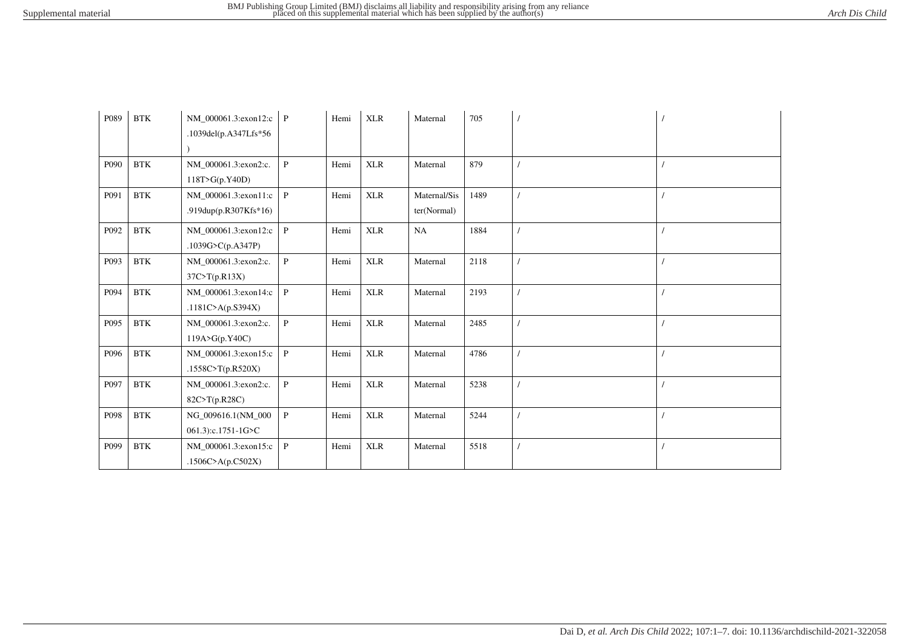| P089 | <b>BTK</b>           | NM_000061.3:exon12:c<br>.1039del(p.A347Lfs*56 | $\mathbf{P}$ | Hemi | <b>XLR</b> | Maternal                    | 705  |  |
|------|----------------------|-----------------------------------------------|--------------|------|------------|-----------------------------|------|--|
| P090 | <b>BTK</b>           | NM_000061.3:exon2:c.<br>118T>G(p.Y40D)        | $\mathbf{P}$ | Hemi | <b>XLR</b> | Maternal                    | 879  |  |
| P091 | $\operatorname{BTK}$ | NM 000061.3:exon11:c<br>.919dup(p.R307Kfs*16) | $\mathbf{P}$ | Hemi | <b>XLR</b> | Maternal/Sis<br>ter(Normal) | 1489 |  |
| P092 | $\operatorname{BTK}$ | NM_000061.3:exon12:c<br>.1039G>C(p.A347P)     | $\mathbf{P}$ | Hemi | <b>XLR</b> | NA                          | 1884 |  |
| P093 | $\operatorname{BTK}$ | NM_000061.3:exon2:c.<br>37C > T(p.R13X)       | $\mathbf{P}$ | Hemi | <b>XLR</b> | Maternal                    | 2118 |  |
| P094 | $\operatorname{BTK}$ | NM_000061.3:exon14:c<br>.1181C>A( $p.S394X$ ) | $\, {\bf P}$ | Hemi | <b>XLR</b> | Maternal                    | 2193 |  |
| P095 | $\operatorname{BTK}$ | NM_000061.3:exon2:c.<br>119A > G(p.Y40C)      | P            | Hemi | <b>XLR</b> | Maternal                    | 2485 |  |
| P096 | $\operatorname{BTK}$ | NM_000061.3:exon15:c<br>.1558C>T(p.R520X)     | P            | Hemi | <b>XLR</b> | Maternal                    | 4786 |  |
| P097 | $\operatorname{BTK}$ | NM_000061.3:exon2:c.<br>82C>T(p.R28C)         | $\mathbf{P}$ | Hemi | <b>XLR</b> | Maternal                    | 5238 |  |
| P098 | $\operatorname{BTK}$ | NG_009616.1(NM_000<br>061.3):c.1751-1G>C      | $\mathbf{P}$ | Hemi | <b>XLR</b> | Maternal                    | 5244 |  |
| P099 | <b>BTK</b>           | NM_000061.3:exon15:c<br>.1506C>A(p.C502X)     | $\mathbf{P}$ | Hemi | <b>XLR</b> | Maternal                    | 5518 |  |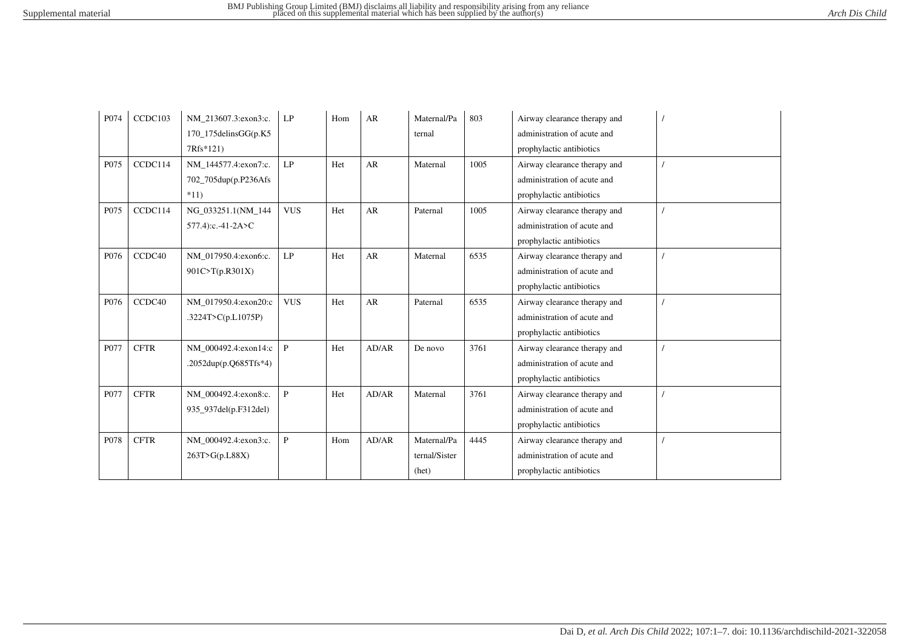| P074 | CCDC103     | NM 213607.3:exon3:c.    | LP           | Hom | AR    | Maternal/Pa   | 803  | Airway clearance therapy and |  |
|------|-------------|-------------------------|--------------|-----|-------|---------------|------|------------------------------|--|
|      |             | $170$ _175delinsGG(p.K5 |              |     |       | ternal        |      | administration of acute and  |  |
|      |             | 7Rfs*121)               |              |     |       |               |      | prophylactic antibiotics     |  |
| P075 | CCDC114     | NM_144577.4:exon7:c.    | LP           | Het | AR    | Maternal      | 1005 | Airway clearance therapy and |  |
|      |             | 702_705dup(p.P236Afs    |              |     |       |               |      | administration of acute and  |  |
|      |             | $*11)$                  |              |     |       |               |      | prophylactic antibiotics     |  |
| P075 | CCDC114     | NG_033251.1(NM_144      | <b>VUS</b>   | Het | AR    | Paternal      | 1005 | Airway clearance therapy and |  |
|      |             | 577.4):c.-41-2A>C       |              |     |       |               |      | administration of acute and  |  |
|      |             |                         |              |     |       |               |      | prophylactic antibiotics     |  |
| P076 | CCDC40      | NM 017950.4:exon6:c.    | LP           | Het | AR    | Maternal      | 6535 | Airway clearance therapy and |  |
|      |             | 901C>T(p.R301X)         |              |     |       |               |      | administration of acute and  |  |
|      |             |                         |              |     |       |               |      | prophylactic antibiotics     |  |
| P076 | CCDC40      | NM 017950.4:exon20:c    | <b>VUS</b>   | Het | AR    | Paternal      | 6535 | Airway clearance therapy and |  |
|      |             | .3224T>C(p.L1075P)      |              |     |       |               |      | administration of acute and  |  |
|      |             |                         |              |     |       |               |      | prophylactic antibiotics     |  |
| P077 | <b>CFTR</b> | NM 000492.4:exon14:c    | P            | Het | AD/AR | De novo       | 3761 | Airway clearance therapy and |  |
|      |             | .2052dup(p.Q685Tfs*4)   |              |     |       |               |      | administration of acute and  |  |
|      |             |                         |              |     |       |               |      | prophylactic antibiotics     |  |
| P077 | <b>CFTR</b> | NM_000492.4:exon8:c.    | $\mathbf{P}$ | Het | AD/AR | Maternal      | 3761 | Airway clearance therapy and |  |
|      |             | 935_937del(p.F312del)   |              |     |       |               |      | administration of acute and  |  |
|      |             |                         |              |     |       |               |      | prophylactic antibiotics     |  |
| P078 | <b>CFTR</b> | NM_000492.4:exon3:c.    | $\mathbf{P}$ | Hom | AD/AR | Maternal/Pa   | 4445 | Airway clearance therapy and |  |
|      |             | 263T>G(p.L88X)          |              |     |       | ternal/Sister |      | administration of acute and  |  |
|      |             |                         |              |     |       | (het)         |      | prophylactic antibiotics     |  |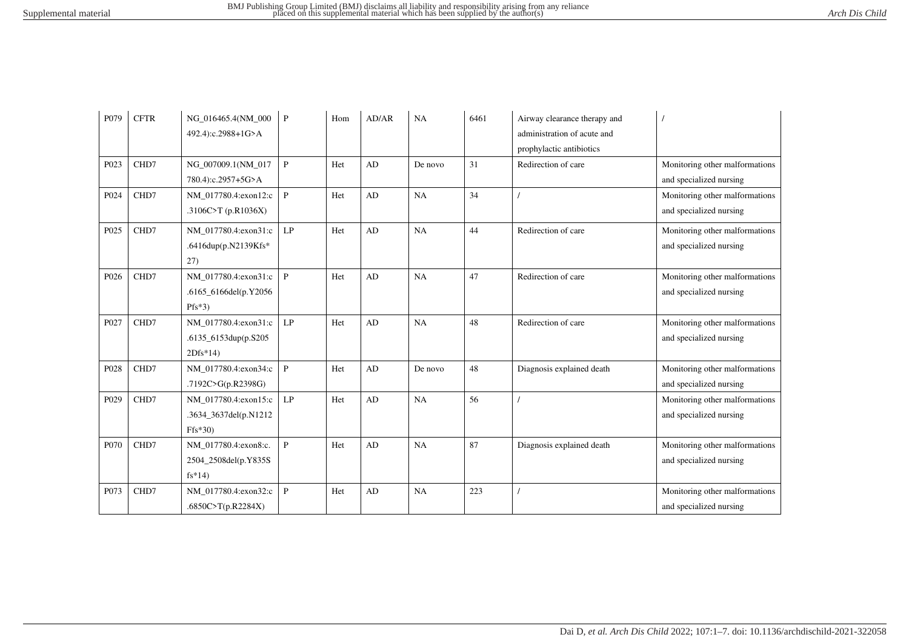| P <sub>079</sub> | <b>CFTR</b> | NG 016465.4(NM 000<br>492.4):c.2988+1G>A                  | P                      | Hom | AD/AR | NA      | 6461 | Airway clearance therapy and<br>administration of acute and<br>prophylactic antibiotics |                                                           |
|------------------|-------------|-----------------------------------------------------------|------------------------|-----|-------|---------|------|-----------------------------------------------------------------------------------------|-----------------------------------------------------------|
| P023             | CHD7        | NG 007009.1(NM 017<br>780.4):c.2957+5G>A                  | $\mathbf{P}$           | Het | AD    | De novo | 31   | Redirection of care                                                                     | Monitoring other malformations<br>and specialized nursing |
| P024             | CHD7        | NM_017780.4:exon12:c<br>.3106C>T $(p.R1036X)$             | $\mathbf{P}$           | Het | AD    | NA      | 34   |                                                                                         | Monitoring other malformations<br>and specialized nursing |
| P025             | CHD7        | NM 017780.4:exon31:c<br>.6416dup(p.N2139Kfs*<br>27)       | LP                     | Het | AD    | NA      | 44   | Redirection of care                                                                     | Monitoring other malformations<br>and specialized nursing |
| P026             | CHD7        | NM 017780.4:exon31:c<br>.6165_6166del(p.Y2056<br>$Pfs*3)$ | $\mathbf{P}$           | Het | AD    | NA      | 47   | Redirection of care                                                                     | Monitoring other malformations<br>and specialized nursing |
| P027             | CHD7        | NM_017780.4:exon31:c<br>.6135_6153dup(p.S205<br>$2Dfs*14$ | $\mathrm{L}\mathrm{P}$ | Het | AD    | NA      | 48   | Redirection of care                                                                     | Monitoring other malformations<br>and specialized nursing |
| P028             | CHD7        | NM 017780.4:exon34:c<br>.7192C>G(p.R2398G)                | $\, {\bf P}$           | Het | AD    | De novo | 48   | Diagnosis explained death                                                               | Monitoring other malformations<br>and specialized nursing |
| P <sub>029</sub> | CHD7        | NM 017780.4:exon15:c<br>.3634_3637del(p.N1212<br>$Ffs*30$ | LP                     | Het | AD    | NA      | 56   |                                                                                         | Monitoring other malformations<br>and specialized nursing |
| P070             | CHD7        | NM_017780.4:exon8:c.<br>2504_2508del(p.Y835S<br>$fs*14)$  | $\mathbf{P}$           | Het | AD    | NA      | 87   | Diagnosis explained death                                                               | Monitoring other malformations<br>and specialized nursing |
| P073             | CHD7        | NM_017780.4:exon32:c<br>.6850C>T(p.R2284X)                | $\mathbf{P}$           | Het | AD    | NA      | 223  |                                                                                         | Monitoring other malformations<br>and specialized nursing |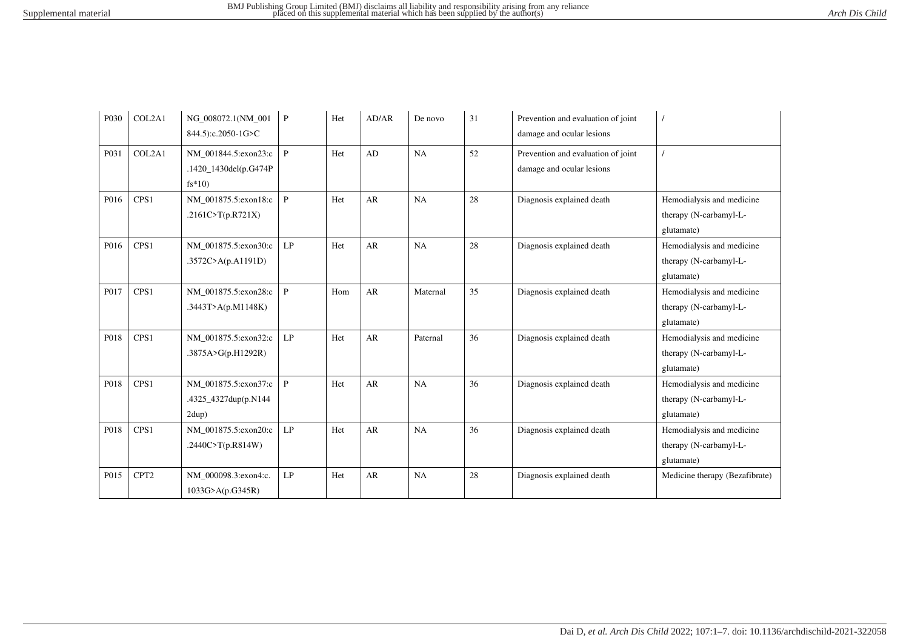| P <sub>0</sub> 30 | COL2A1           | NG_008072.1(NM_001<br>844.5):c.2050-1G>C                  | $\mathbf{P}$  | Het | AD/AR     | De novo  | 31 | Prevention and evaluation of joint<br>damage and ocular lesions |                                                                   |
|-------------------|------------------|-----------------------------------------------------------|---------------|-----|-----------|----------|----|-----------------------------------------------------------------|-------------------------------------------------------------------|
| P031              | COL2A1           | NM 001844.5:exon23:c<br>.1420_1430del(p.G474P<br>$fs*10)$ | $\mathbf{P}$  | Het | AD        | NA       | 52 | Prevention and evaluation of joint<br>damage and ocular lesions |                                                                   |
| P016              | CPS <sub>1</sub> | NM 001875.5:exon18:c<br>.2161C>T(p.R721X)                 | $\mathbf{P}$  | Het | AR        | NA       | 28 | Diagnosis explained death                                       | Hemodialysis and medicine<br>therapy (N-carbamyl-L-<br>glutamate) |
| P016              | CPS <sub>1</sub> | NM 001875.5:exon30:c<br>.3572C>A(p.A1191D)                | LP            | Het | <b>AR</b> | NA       | 28 | Diagnosis explained death                                       | Hemodialysis and medicine<br>therapy (N-carbamyl-L-<br>glutamate) |
| P017              | CPS1             | NM_001875.5:exon28:c<br>.3443T>A( $p.M1148K$ )            | P             | Hom | AR        | Maternal | 35 | Diagnosis explained death                                       | Hemodialysis and medicine<br>therapy (N-carbamyl-L-<br>glutamate) |
| P018              | CPS1             | NM 001875.5:exon32:c<br>.3875A>G(p.H1292R)                | LP            | Het | AR        | Paternal | 36 | Diagnosis explained death                                       | Hemodialysis and medicine<br>therapy (N-carbamyl-L-<br>glutamate) |
| P018              | CPS1             | NM 001875.5:exon37:c<br>.4325_4327dup(p.N144<br>2dup)     | $\mathbf{P}$  | Het | AR        | NA       | 36 | Diagnosis explained death                                       | Hemodialysis and medicine<br>therapy (N-carbamyl-L-<br>glutamate) |
| P018              | CPS <sub>1</sub> | NM_001875.5:exon20:c<br>.2440C>T(p.R814W)                 | $\mathrm{LP}$ | Het | AR        | NA       | 36 | Diagnosis explained death                                       | Hemodialysis and medicine<br>therapy (N-carbamyl-L-<br>glutamate) |
| P015              | CPT <sub>2</sub> | NM_000098.3:exon4:c.<br>1033G>A(p.G345R)                  | LP            | Het | AR        | NA       | 28 | Diagnosis explained death                                       | Medicine therapy (Bezafibrate)                                    |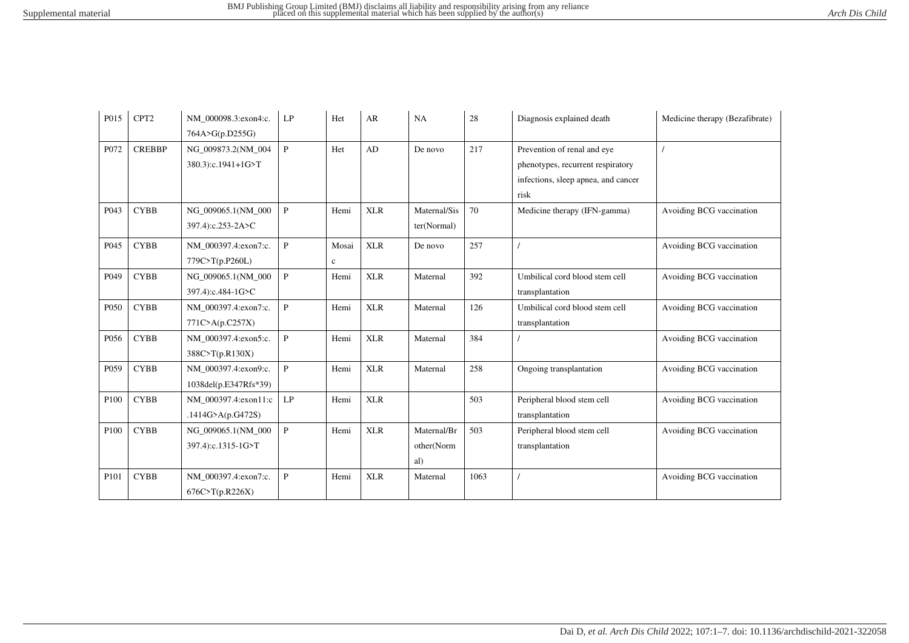| P015             | CPT <sub>2</sub> | NM_000098.3:exon4:c.  | LP           | Het          | AR                        | NA           | 28   | Diagnosis explained death           | Medicine therapy (Bezafibrate) |
|------------------|------------------|-----------------------|--------------|--------------|---------------------------|--------------|------|-------------------------------------|--------------------------------|
|                  |                  | 764A>G(p.D255G)       |              |              |                           |              |      |                                     |                                |
| P072             | <b>CREBBP</b>    | NG 009873.2(NM 004    | $\mathbf{P}$ | Het          | AD                        | De novo      | 217  | Prevention of renal and eye         |                                |
|                  |                  | 380.3):c.1941+1G>T    |              |              |                           |              |      | phenotypes, recurrent respiratory   |                                |
|                  |                  |                       |              |              |                           |              |      | infections, sleep apnea, and cancer |                                |
|                  |                  |                       |              |              |                           |              |      | risk                                |                                |
| P043             | <b>CYBB</b>      | NG 009065.1(NM 000    | $\mathbf{P}$ | Hemi         | <b>XLR</b>                | Maternal/Sis | 70   | Medicine therapy (IFN-gamma)        | Avoiding BCG vaccination       |
|                  |                  | 397.4):c.253-2A>C     |              |              |                           | ter(Normal)  |      |                                     |                                |
| P <sub>045</sub> | <b>CYBB</b>      | NM 000397.4:exon7:c.  | $\mathbf{P}$ | Mosai        | $\ensuremath{\text{XLR}}$ | De novo      | 257  |                                     | Avoiding BCG vaccination       |
|                  |                  | 779C>T(p.P260L)       |              | $\mathbf{c}$ |                           |              |      |                                     |                                |
| P <sub>049</sub> | <b>CYBB</b>      | NG 009065.1(NM 000    | $\mathbf{P}$ | Hemi         | <b>XLR</b>                | Maternal     | 392  | Umbilical cord blood stem cell      | Avoiding BCG vaccination       |
|                  |                  | 397.4):c.484-1G>C     |              |              |                           |              |      | transplantation                     |                                |
| P <sub>050</sub> | <b>CYBB</b>      | NM 000397.4:exon7:c.  | $\mathbf{P}$ | Hemi         | <b>XLR</b>                | Maternal     | 126  | Umbilical cord blood stem cell      | Avoiding BCG vaccination       |
|                  |                  | 771C > A(p.C257X)     |              |              |                           |              |      | transplantation                     |                                |
| P056             | <b>CYBB</b>      | NM_000397.4:exon5:c.  | $\mathbf{P}$ | Hemi         | $\ensuremath{\text{XLR}}$ | Maternal     | 384  |                                     | Avoiding BCG vaccination       |
|                  |                  | 388C>T(p.R130X)       |              |              |                           |              |      |                                     |                                |
| P <sub>059</sub> | <b>CYBB</b>      | NM 000397.4:exon9:c.  | $\mathbf{P}$ | Hemi         | <b>XLR</b>                | Maternal     | 258  | Ongoing transplantation             | Avoiding BCG vaccination       |
|                  |                  | 1038del(p.E347Rfs*39) |              |              |                           |              |      |                                     |                                |
| P <sub>100</sub> | <b>CYBB</b>      | NM_000397.4:exon11:c  | LP           | Hemi         | <b>XLR</b>                |              | 503  | Peripheral blood stem cell          | Avoiding BCG vaccination       |
|                  |                  | .1414G>A(p.G472S)     |              |              |                           |              |      | transplantation                     |                                |
| P100             | <b>CYBB</b>      | NG_009065.1(NM_000    | $\mathbf{P}$ | Hemi         | $\ensuremath{\text{XLR}}$ | Maternal/Br  | 503  | Peripheral blood stem cell          | Avoiding BCG vaccination       |
|                  |                  | 397.4):c.1315-1G>T    |              |              |                           | other(Norm   |      | transplantation                     |                                |
|                  |                  |                       |              |              |                           | al)          |      |                                     |                                |
| P101             | <b>CYBB</b>      | NM 000397.4:exon7:c.  | $\mathbf{P}$ | Hemi         | $\ensuremath{\text{XLR}}$ | Maternal     | 1063 |                                     | Avoiding BCG vaccination       |
|                  |                  | 676C > T(p.R226X)     |              |              |                           |              |      |                                     |                                |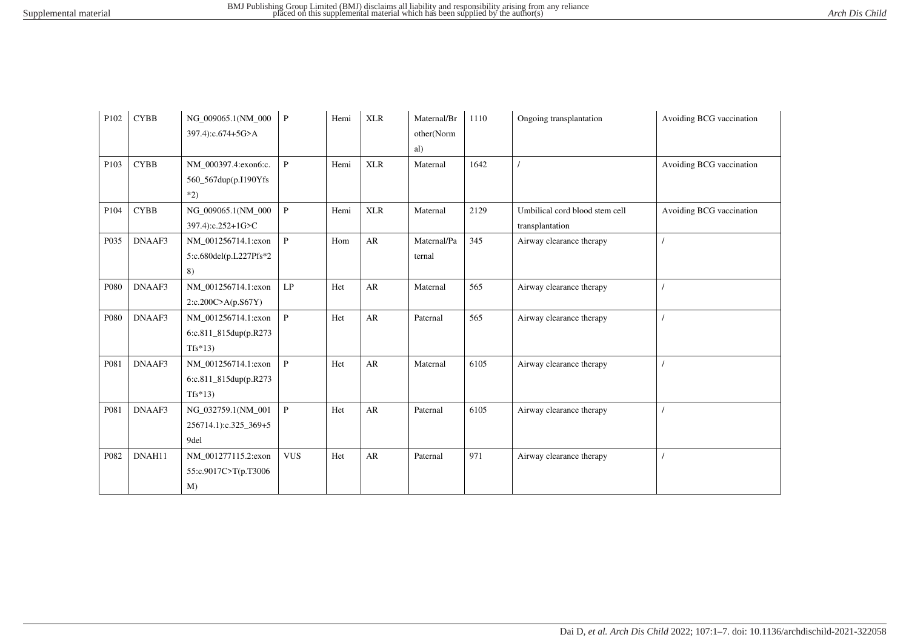| P102 | <b>CYBB</b> | NG_009065.1(NM_000<br>397.4):c.674+5G>A                   | $\mathbf{P}$  | Hemi | <b>XLR</b> | Maternal/Br<br>other(Norm<br>al) | 1110 | Ongoing transplantation                           | Avoiding BCG vaccination |
|------|-------------|-----------------------------------------------------------|---------------|------|------------|----------------------------------|------|---------------------------------------------------|--------------------------|
| P103 | <b>CYBB</b> | NM_000397.4:exon6:c.<br>560_567dup(p.I190Yfs)<br>$*2)$    | $\mathbf{P}$  | Hemi | <b>XLR</b> | Maternal                         | 1642 |                                                   | Avoiding BCG vaccination |
| P104 | <b>CYBB</b> | NG_009065.1(NM_000<br>397.4):c.252+1G>C                   | $\, {\bf P}$  | Hemi | <b>XLR</b> | Maternal                         | 2129 | Umbilical cord blood stem cell<br>transplantation | Avoiding BCG vaccination |
| P035 | DNAAF3      | NM_001256714.1:exon<br>5:c.680del(p.L227Pfs*2<br>8)       | $\mathbf{P}$  | Hom  | AR         | Maternal/Pa<br>ternal            | 345  | Airway clearance therapy                          |                          |
| P080 | DNAAF3      | NM 001256714.1:exon<br>2:c.200C>A(p.S67Y)                 | $\mathrm{LP}$ | Het  | AR         | Maternal                         | 565  | Airway clearance therapy                          |                          |
| P080 | DNAAF3      | NM 001256714.1:exon<br>6:c.811_815dup(p.R273<br>$Tfs*13)$ | $\mathbf{P}$  | Het  | AR         | Paternal                         | 565  | Airway clearance therapy                          |                          |
| P081 | DNAAF3      | NM 001256714.1:exon<br>6:c.811_815dup(p.R273<br>$Tfs*13$  | $\, {\bf P}$  | Het  | ${\sf AR}$ | Maternal                         | 6105 | Airway clearance therapy                          |                          |
| P081 | DNAAF3      | NG_032759.1(NM_001<br>256714.1):c.325_369+5<br>9del       | $\mathbf{P}$  | Het  | ${\sf AR}$ | Paternal                         | 6105 | Airway clearance therapy                          |                          |
| P082 | DNAH11      | NM_001277115.2:exon<br>55:c.9017C>T(p.T3006<br>$M$ )      | <b>VUS</b>    | Het  | AR         | Paternal                         | 971  | Airway clearance therapy                          |                          |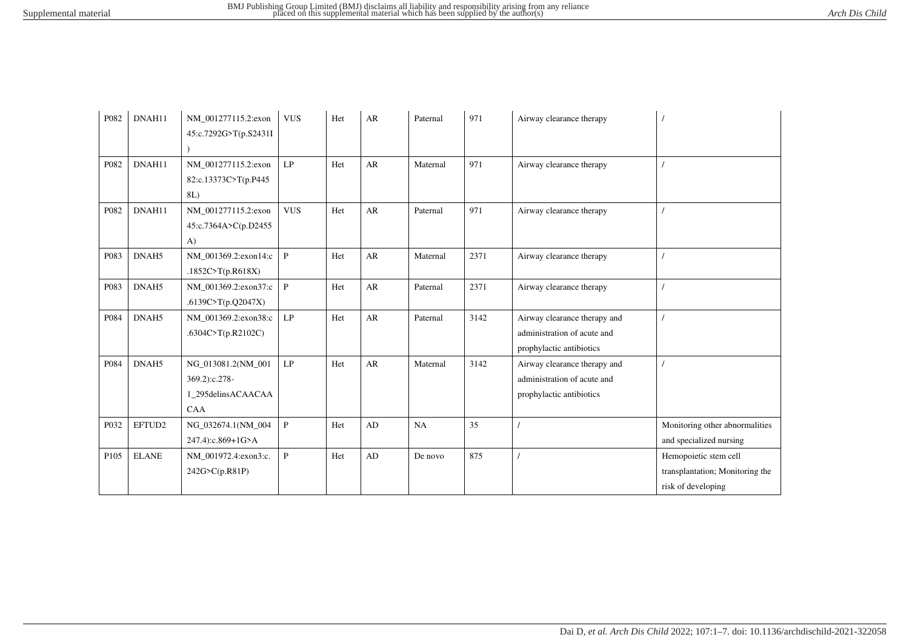| P082             | DNAH11       | NM_001277115.2:exon<br>45:c.7292G>T(p.S2431I                            | <b>VUS</b>    | Het | AR         | Paternal | 971  | Airway clearance therapy                                                                |                                                                                |
|------------------|--------------|-------------------------------------------------------------------------|---------------|-----|------------|----------|------|-----------------------------------------------------------------------------------------|--------------------------------------------------------------------------------|
| P082             | DNAH11       | NM_001277115.2:exon<br>82:c.13373C>T(p.P445<br>8L)                      | LP            | Het | ${\sf AR}$ | Maternal | 971  | Airway clearance therapy                                                                |                                                                                |
| P082             | DNAH11       | NM 001277115.2:exon<br>45:c.7364A>C(p.D2455<br>$\bf{A}$                 | <b>VUS</b>    | Het | AR         | Paternal | 971  | Airway clearance therapy                                                                |                                                                                |
| P083             | DNAH5        | NM 001369.2:exon14:c<br>.1852C>T(p.R618X)                               | $\mathbf{P}$  | Het | AR         | Maternal | 2371 | Airway clearance therapy                                                                |                                                                                |
| P083             | DNAH5        | NM_001369.2:exon37:c<br>.6139C>T(p.Q2047X)                              | $\mathbf{P}$  | Het | ${\sf AR}$ | Paternal | 2371 | Airway clearance therapy                                                                |                                                                                |
| P084             | DNAH5        | NM 001369.2:exon38:c<br>.6304C>T(p.R2102C)                              | LP            | Het | AR         | Paternal | 3142 | Airway clearance therapy and<br>administration of acute and<br>prophylactic antibiotics |                                                                                |
| P084             | DNAH5        | NG 013081.2(NM 001<br>369.2):c.278-<br>1_295delinsACAACAA<br><b>CAA</b> | $\mathrm{LP}$ | Het | AR         | Maternal | 3142 | Airway clearance therapy and<br>administration of acute and<br>prophylactic antibiotics |                                                                                |
| P032             | EFTUD2       | NG_032674.1(NM_004<br>247.4):c.869+1G>A                                 | $\, {\bf P}$  | Het | AD         | NA       | 35   |                                                                                         | Monitoring other abnormalities<br>and specialized nursing                      |
| P <sub>105</sub> | <b>ELANE</b> | NM_001972.4:exon3:c.<br>242G>C(p.R81P)                                  | $\mathbf{P}$  | Het | AD         | De novo  | 875  |                                                                                         | Hemopoietic stem cell<br>transplantation; Monitoring the<br>risk of developing |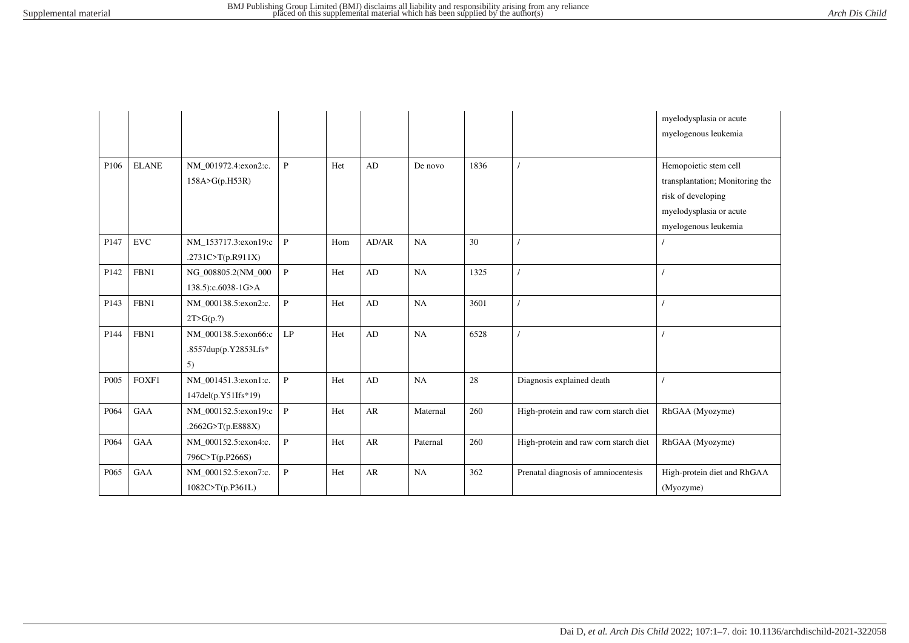|                  |              |                                                    |              |     |            |          |      |                                       | myelodysplasia or acute<br>myelogenous leukemia |
|------------------|--------------|----------------------------------------------------|--------------|-----|------------|----------|------|---------------------------------------|-------------------------------------------------|
| P106             | <b>ELANE</b> | NM_001972.4:exon2:c.                               | P            | Het | AD         | De novo  | 1836 |                                       | Hemopoietic stem cell                           |
|                  |              | 158A>G(p.H53R)                                     |              |     |            |          |      |                                       | transplantation; Monitoring the                 |
|                  |              |                                                    |              |     |            |          |      |                                       | risk of developing                              |
|                  |              |                                                    |              |     |            |          |      |                                       | myelodysplasia or acute                         |
|                  |              |                                                    |              |     |            |          |      |                                       | myelogenous leukemia                            |
| P147             | ${\rm EVC}$  | NM_153717.3:exon19:c<br>.2731C>T(p.R911X)          | $\, {\bf P}$ | Hom | AD/AR      | NA       | 30   |                                       |                                                 |
| P <sub>142</sub> | FBN1         | NG_008805.2(NM_000<br>138.5):c.6038-1G>A           | $\, {\bf P}$ | Het | AD         | NA       | 1325 |                                       |                                                 |
| P <sub>143</sub> | FBN1         | NM_000138.5:exon2:c.<br>2T>G(p.?)                  | $\mathbf{P}$ | Het | AD         | NA       | 3601 |                                       |                                                 |
| P144             | FBN1         | NM 000138.5:exon66:c<br>.8557dup(p.Y2853Lfs*<br>5) | LP           | Het | AD         | NA       | 6528 |                                       |                                                 |
| P005             | FOXF1        | NM 001451.3:exon1:c.<br>147del(p.Y51Ifs*19)        | $\, {\bf P}$ | Het | AD         | NA       | 28   | Diagnosis explained death             |                                                 |
| P064             | GAA          | NM_000152.5:exon19:c<br>.2662G>T(p.E888X)          | $\mathbf{P}$ | Het | AR         | Maternal | 260  | High-protein and raw corn starch diet | RhGAA (Myozyme)                                 |
| P064             | GAA          | NM_000152.5:exon4:c.<br>796C>T(p.P266S)            | $\mathbf{P}$ | Het | ${\sf AR}$ | Paternal | 260  | High-protein and raw corn starch diet | RhGAA (Myozyme)                                 |
| P065             | GAA          | NM_000152.5:exon7:c.<br>1082C>T(p.P361L)           | $\mathbf{P}$ | Het | AR         | NA       | 362  | Prenatal diagnosis of amniocentesis   | High-protein diet and RhGAA<br>(Myozyme)        |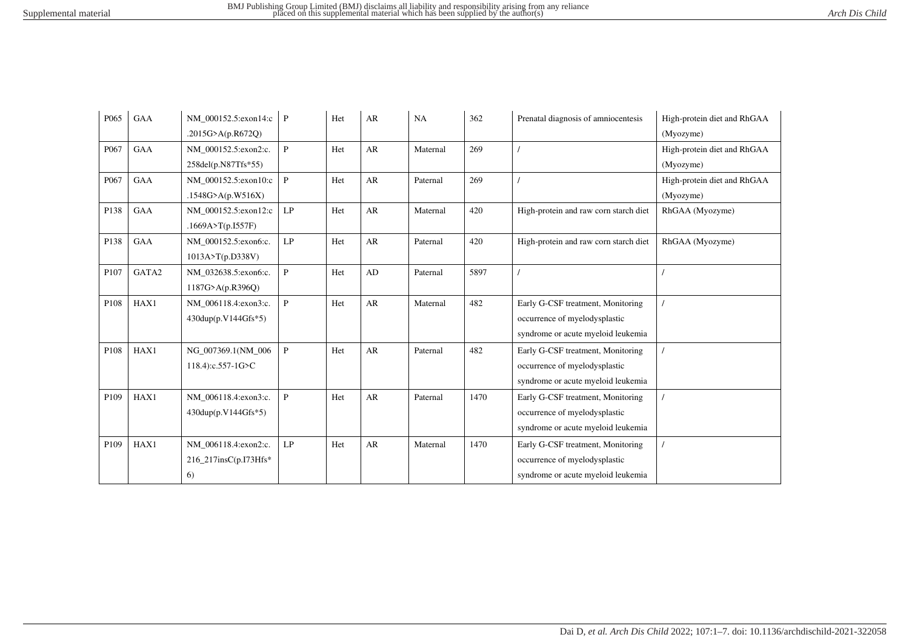| P065 | GAA        | NM 000152.5:exon14:c          | $\mathbf{P}$ | Het | AR        | NA       | 362  | Prenatal diagnosis of amniocentesis   | High-protein diet and RhGAA |
|------|------------|-------------------------------|--------------|-----|-----------|----------|------|---------------------------------------|-----------------------------|
|      |            | .2015G>A(p.R672Q)             |              |     |           |          |      |                                       | (Myozyme)                   |
| P067 | <b>GAA</b> | NM 000152.5:exon2:c.          | $\mathbf{P}$ | Het | AR        | Maternal | 269  |                                       | High-protein diet and RhGAA |
|      |            | 258del(p.N87Tfs*55)           |              |     |           |          |      |                                       | (Myozyme)                   |
| P067 | <b>GAA</b> | NM 000152.5:exon10:c          | P            | Het | AR        | Paternal | 269  |                                       | High-protein diet and RhGAA |
|      |            | .1548G>A(p.W516X)             |              |     |           |          |      |                                       | (Myozyme)                   |
| P138 | GAA        | NM_000152.5:exon12:c          | LP           | Het | AR        | Maternal | 420  | High-protein and raw corn starch diet | RhGAA (Myozyme)             |
|      |            | .1669A>T(p.I557F)             |              |     |           |          |      |                                       |                             |
| P138 | <b>GAA</b> | NM 000152.5:exon6:c.          | LP           | Het | AR        | Paternal | 420  | High-protein and raw corn starch diet | RhGAA (Myozyme)             |
|      |            | 1013A > T(p.D338V)            |              |     |           |          |      |                                       |                             |
| P107 | GATA2      | NM 032638.5:exon6:c.          | $\mathbf{P}$ | Het | $\rm{AD}$ | Paternal | 5897 |                                       |                             |
|      |            | 1187G>A(p.R396Q)              |              |     |           |          |      |                                       |                             |
| P108 | HAX1       | NM 006118.4:exon3:c.          | $\mathbf{P}$ | Het | AR        | Maternal | 482  | Early G-CSF treatment, Monitoring     |                             |
|      |            | $430 \text{dup}(p.V144Gfs*5)$ |              |     |           |          |      | occurrence of myelodysplastic         |                             |
|      |            |                               |              |     |           |          |      | syndrome or acute myeloid leukemia    |                             |
| P108 | HAX1       | NG 007369.1(NM 006            | P            | Het | AR        | Paternal | 482  | Early G-CSF treatment, Monitoring     |                             |
|      |            | 118.4):c.557-1G>C             |              |     |           |          |      | occurrence of myelodysplastic         |                             |
|      |            |                               |              |     |           |          |      | syndrome or acute myeloid leukemia    |                             |
| P109 | HAX1       | NM_006118.4:exon3:c.          | $\mathbf{P}$ | Het | AR        | Paternal | 1470 | Early G-CSF treatment, Monitoring     |                             |
|      |            | 430dup(p.V144Gfs*5)           |              |     |           |          |      | occurrence of myelodysplastic         |                             |
|      |            |                               |              |     |           |          |      | syndrome or acute myeloid leukemia    |                             |
| P109 | HAX1       | NM_006118.4:exon2:c.          | LP           | Het | AR        | Maternal | 1470 | Early G-CSF treatment, Monitoring     |                             |
|      |            | 216_217insC(p.I73Hfs*         |              |     |           |          |      | occurrence of myelodysplastic         |                             |
|      |            | 6)                            |              |     |           |          |      | syndrome or acute myeloid leukemia    |                             |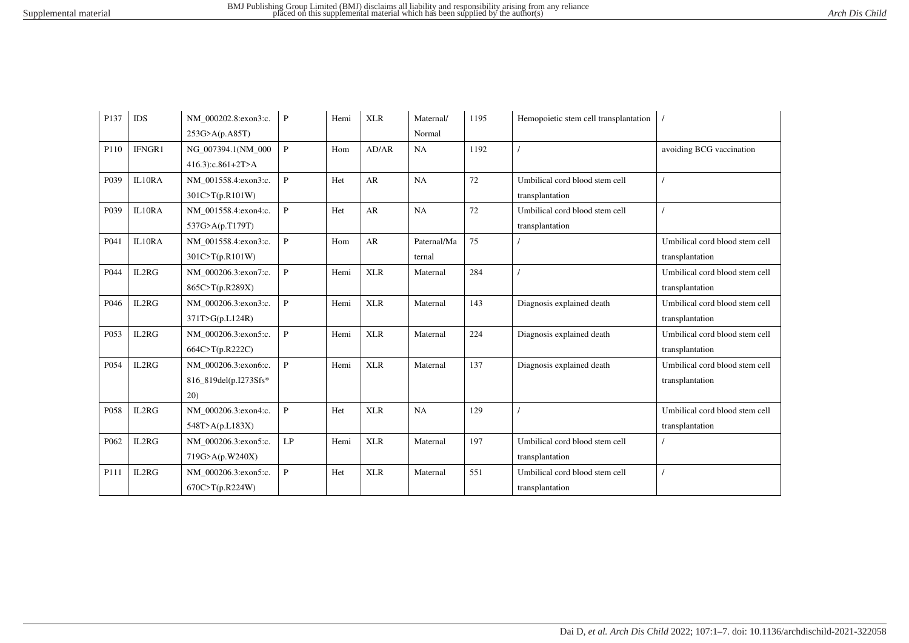| P <sub>137</sub> | IDS    | NM 000202.8:exon3:c.  | P            | Hemi | <b>XLR</b> | Maternal/   | 1195 | Hemopoietic stem cell transplantation |                                |
|------------------|--------|-----------------------|--------------|------|------------|-------------|------|---------------------------------------|--------------------------------|
|                  |        | 253G>A(p.A85T)        |              |      |            | Normal      |      |                                       |                                |
| P110             | IFNGR1 | NG 007394.1(NM 000    | $\mathbf{P}$ | Hom  | AD/AR      | NA          | 1192 |                                       | avoiding BCG vaccination       |
|                  |        | 416.3):c.861+2T>A     |              |      |            |             |      |                                       |                                |
| P039             | IL10RA | NM 001558.4:exon3:c.  | $\mathbf{P}$ | Het  | AR         | NA          | 72   | Umbilical cord blood stem cell        |                                |
|                  |        | 301C>T(p.R101W)       |              |      |            |             |      | transplantation                       |                                |
| P039             | IL10RA | NM 001558.4:exon4:c.  | $\mathbf{P}$ | Het  | AR         | NA          | 72   | Umbilical cord blood stem cell        |                                |
|                  |        | 537G>A(p.T179T)       |              |      |            |             |      | transplantation                       |                                |
| P041             | IL10RA | NM 001558.4:exon3:c.  | $\mathbf{P}$ | Hom  | AR         | Paternal/Ma | 75   |                                       | Umbilical cord blood stem cell |
|                  |        | 301C>T(p.R101W)       |              |      |            | ternal      |      |                                       | transplantation                |
| P044             | IL2RG  | NM 000206.3:exon7:c.  | $\mathbf{P}$ | Hemi | <b>XLR</b> | Maternal    | 284  |                                       | Umbilical cord blood stem cell |
|                  |        | 865C>T(p.R289X)       |              |      |            |             |      |                                       | transplantation                |
| P046             | IL2RG  | NM 000206.3:exon3:c.  | $\mathbf{P}$ | Hemi | <b>XLR</b> | Maternal    | 143  | Diagnosis explained death             | Umbilical cord blood stem cell |
|                  |        | 371T>G(p.L124R)       |              |      |            |             |      |                                       | transplantation                |
| P053             | IL2RG  | NM_000206.3:exon5:c.  | $\mathbf{P}$ | Hemi | <b>XLR</b> | Maternal    | 224  | Diagnosis explained death             | Umbilical cord blood stem cell |
|                  |        | 664C>T(p.R222C)       |              |      |            |             |      |                                       | transplantation                |
| P054             | IL2RG  | NM 000206.3:exon6:c.  | $\mathbf{P}$ | Hemi | <b>XLR</b> | Maternal    | 137  | Diagnosis explained death             | Umbilical cord blood stem cell |
|                  |        | 816_819del(p.I273Sfs* |              |      |            |             |      |                                       | transplantation                |
|                  |        | 20)                   |              |      |            |             |      |                                       |                                |
| P058             | IL2RG  | NM_000206.3:exon4:c.  | $\mathbf{P}$ | Het  | <b>XLR</b> | NA          | 129  |                                       | Umbilical cord blood stem cell |
|                  |        | 548T > A(p.L183X)     |              |      |            |             |      |                                       | transplantation                |
| P062             | IL2RG  | NM 000206.3:exon5:c.  | LP           | Hemi | <b>XLR</b> | Maternal    | 197  | Umbilical cord blood stem cell        |                                |
|                  |        | 719G>A(p.W240X)       |              |      |            |             |      | transplantation                       |                                |
| P111             | IL2RG  | NM_000206.3:exon5:c.  | $\mathbf{P}$ | Het  | <b>XLR</b> | Maternal    | 551  | Umbilical cord blood stem cell        |                                |
|                  |        | 670C > T(p.R224W)     |              |      |            |             |      | transplantation                       |                                |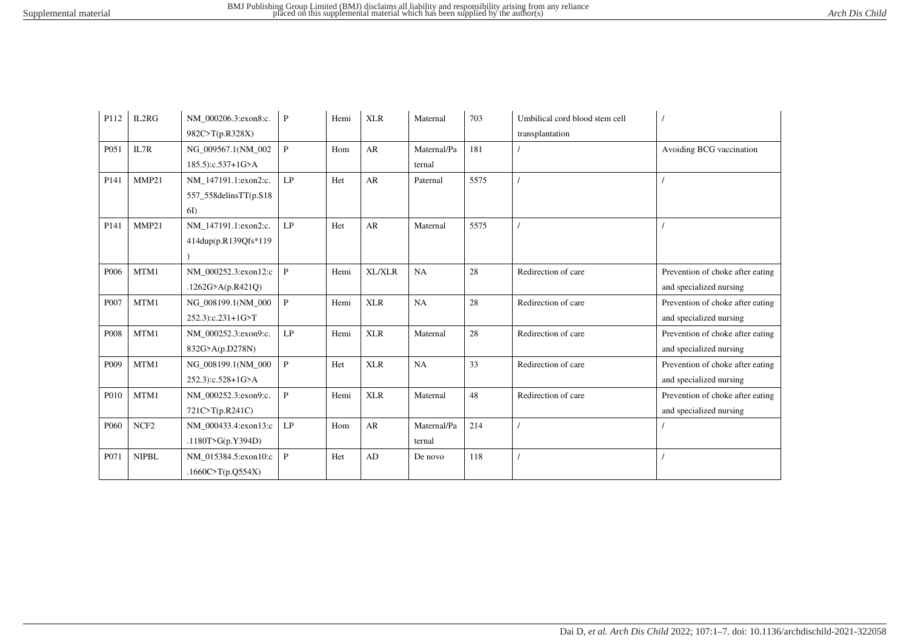| P112             | IL2RG            | NM 000206.3:exon8:c.  | P             | Hemi | <b>XLR</b>    | Maternal    | 703  | Umbilical cord blood stem cell |                                  |
|------------------|------------------|-----------------------|---------------|------|---------------|-------------|------|--------------------------------|----------------------------------|
|                  |                  | 982C>T(p.R328X)       |               |      |               |             |      | transplantation                |                                  |
| P051             | IL7R             | NG 009567.1(NM 002    | $\mathbf{P}$  | Hom  | AR            | Maternal/Pa | 181  |                                | Avoiding BCG vaccination         |
|                  |                  | 185.5):c.537+1G>A     |               |      |               | ternal      |      |                                |                                  |
| P141             | MMP21            | NM 147191.1:exon2:c.  | LP            | Het  | AR            | Paternal    | 5575 |                                |                                  |
|                  |                  | 557_558delinsTT(p.S18 |               |      |               |             |      |                                |                                  |
|                  |                  | 6I)                   |               |      |               |             |      |                                |                                  |
| P <sub>141</sub> | MMP21            | NM 147191.1:exon2:c.  | LP            | Het  | AR            | Maternal    | 5575 |                                |                                  |
|                  |                  | 414dup(p.R139Qfs*119  |               |      |               |             |      |                                |                                  |
|                  |                  |                       |               |      |               |             |      |                                |                                  |
| P006             | MTM1             | NM_000252.3:exon12:c  | $\mathbf{P}$  | Hemi | <b>XL/XLR</b> | NA          | 28   | Redirection of care            | Prevention of choke after eating |
|                  |                  | .1262G>A(p.R421Q)     |               |      |               |             |      |                                | and specialized nursing          |
| P007             | MTM1             | NG_008199.1(NM_000    | $\mathbf{P}$  | Hemi | <b>XLR</b>    | NA          | 28   | Redirection of care            | Prevention of choke after eating |
|                  |                  | 252.3):c.231+1G>T     |               |      |               |             |      |                                | and specialized nursing          |
| P008             | MTM1             | NM 000252.3:exon9:c.  | LP            | Hemi | <b>XLR</b>    | Maternal    | 28   | Redirection of care            | Prevention of choke after eating |
|                  |                  | 832G>A(p.D278N)       |               |      |               |             |      |                                | and specialized nursing          |
| P <sub>009</sub> | MTM1             | NG_008199.1(NM_000    | $\mathbf{P}$  | Het  | <b>XLR</b>    | NA          | 33   | Redirection of care            | Prevention of choke after eating |
|                  |                  | 252.3):c.528+1G>A     |               |      |               |             |      |                                | and specialized nursing          |
| P010             | MTM1             | NM_000252.3:exon9:c.  | $\mathbf{P}$  | Hemi | <b>XLR</b>    | Maternal    | 48   | Redirection of care            | Prevention of choke after eating |
|                  |                  | 721C>T(p.R241C)       |               |      |               |             |      |                                | and specialized nursing          |
| P <sub>060</sub> | NCF <sub>2</sub> | NM 000433.4:exon13:c  | $\mathrm{LP}$ | Hom  | ${\sf AR}$    | Maternal/Pa | 214  |                                |                                  |
|                  |                  | .1180T>G(p.Y394D)     |               |      |               | ternal      |      |                                |                                  |
| P071             | <b>NIPBL</b>     | NM_015384.5:exon10:c  | $\mathbf{P}$  | Het  | AD            | De novo     | 118  |                                |                                  |
|                  |                  | .1660C>T(p.Q554X)     |               |      |               |             |      |                                |                                  |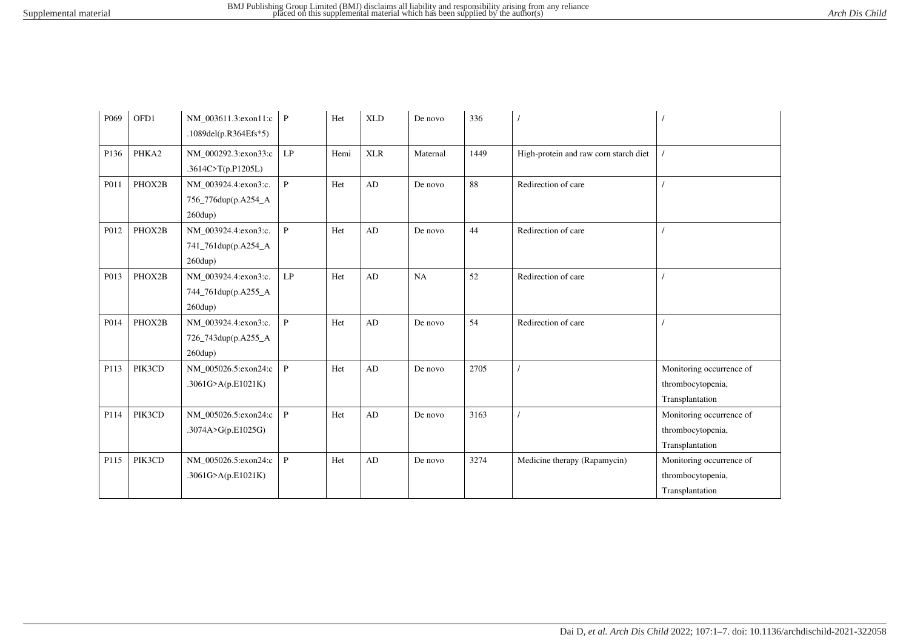| P <sub>069</sub> | OFD1   | NM 003611.3:exon11:c<br>.1089del(p.R364Efs*5)                     | $\mathbf{P}$ | Het  | <b>XLD</b> | De novo  | 336  |                                       |                                                                  |
|------------------|--------|-------------------------------------------------------------------|--------------|------|------------|----------|------|---------------------------------------|------------------------------------------------------------------|
| P136             | PHKA2  | NM_000292.3:exon33:c<br>.3614C>T(p.P1205L)                        | LP           | Hemi | <b>XLR</b> | Maternal | 1449 | High-protein and raw corn starch diet |                                                                  |
| P011             | PHOX2B | NM_003924.4:exon3:c.<br>756_776dup(p.A254_A<br>$260$ dup)         | $\mathbf{P}$ | Het  | AD         | De novo  | 88   | Redirection of care                   |                                                                  |
| P012             | PHOX2B | NM_003924.4:exon3:c.<br>741_761dup(p.A254_A<br>$260$ dup)         | $\mathbf{P}$ | Het  | AD         | De novo  | 44   | Redirection of care                   |                                                                  |
| P013             | PHOX2B | NM_003924.4:exon3:c.<br>744_761dup(p.A255_A<br>$260$ dup)         | LP           | Het  | AD         | NA       | 52   | Redirection of care                   |                                                                  |
| P014             | PHOX2B | NM_003924.4:exon3:c.<br>726_743dup(p.A255_A<br>$260 \text{dup}$ ) | $\mathbf{P}$ | Het  | AD         | De novo  | 54   | Redirection of care                   |                                                                  |
| P113             | PIK3CD | NM_005026.5:exon24:c<br>.3061G>A(p.E1021K)                        | $\mathbf{P}$ | Het  | AD         | De novo  | 2705 |                                       | Monitoring occurrence of<br>thrombocytopenia,<br>Transplantation |
| P114             | PIK3CD | NM_005026.5:exon24:c<br>.3074A>G(p.E1025G)                        | $\, {\bf P}$ | Het  | AD         | De novo  | 3163 |                                       | Monitoring occurrence of<br>thrombocytopenia,<br>Transplantation |
| P115             | PIK3CD | NM_005026.5:exon24:c<br>.3061G>A(p.E1021K)                        | $\mathbf{P}$ | Het  | AD         | De novo  | 3274 | Medicine therapy (Rapamycin)          | Monitoring occurrence of<br>thrombocytopenia,<br>Transplantation |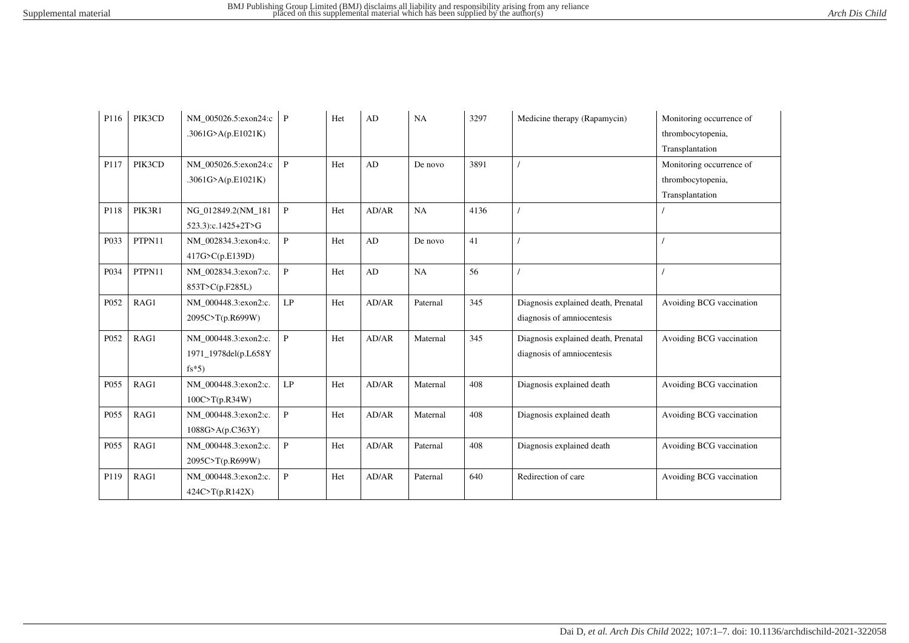| P116 | PIK3CD | NM 005026.5:exon24:c | $\mathbf{P}$  | Het | AD    | NA       | 3297 | Medicine therapy (Rapamycin)        | Monitoring occurrence of |
|------|--------|----------------------|---------------|-----|-------|----------|------|-------------------------------------|--------------------------|
|      |        | .3061G>A(p.E1021K)   |               |     |       |          |      |                                     | thrombocytopenia,        |
|      |        |                      |               |     |       |          |      |                                     | Transplantation          |
| P117 | PIK3CD | NM 005026.5:exon24:c | $\mathbf{P}$  | Het | AD    | De novo  | 3891 |                                     | Monitoring occurrence of |
|      |        | .3061G>A(p.E1021K)   |               |     |       |          |      |                                     | thrombocytopenia,        |
|      |        |                      |               |     |       |          |      |                                     | Transplantation          |
| P118 | PIK3R1 | NG 012849.2(NM 181   | $\mathbf{P}$  | Het | AD/AR | NA       | 4136 |                                     |                          |
|      |        | 523.3):c.1425+2T>G   |               |     |       |          |      |                                     |                          |
| P033 | PTPN11 | NM 002834.3:exon4:c. | $\mathbf{P}$  | Het | AD    | De novo  | 41   |                                     |                          |
|      |        | 417G>C(p.E139D)      |               |     |       |          |      |                                     |                          |
| P034 | PTPN11 | NM 002834.3:exon7:c. | $\mathbf{P}$  | Het | AD    | NA       | 56   |                                     |                          |
|      |        | 853T>C(p.F285L)      |               |     |       |          |      |                                     |                          |
| P052 | RAG1   | NM_000448.3:exon2:c. | $\mathrm{LP}$ | Het | AD/AR | Paternal | 345  | Diagnosis explained death, Prenatal | Avoiding BCG vaccination |
|      |        | 2095C>T(p.R699W)     |               |     |       |          |      | diagnosis of amniocentesis          |                          |
| P052 | RAG1   | NM 000448.3:exon2:c. | $\mathbf{P}$  | Het | AD/AR | Maternal | 345  | Diagnosis explained death, Prenatal | Avoiding BCG vaccination |
|      |        | 1971_1978del(p.L658Y |               |     |       |          |      | diagnosis of amniocentesis          |                          |
|      |        | $fs*5)$              |               |     |       |          |      |                                     |                          |
| P055 | RAG1   | NM_000448.3:exon2:c. | LP            | Het | AD/AR | Maternal | 408  | Diagnosis explained death           | Avoiding BCG vaccination |
|      |        | 100C > T(p.R34W)     |               |     |       |          |      |                                     |                          |
| P055 | RAG1   | NM_000448.3:exon2:c. | $\mathbf{P}$  | Het | AD/AR | Maternal | 408  | Diagnosis explained death           | Avoiding BCG vaccination |
|      |        | 1088G > A(p.C363Y)   |               |     |       |          |      |                                     |                          |
| P055 | RAG1   | NM 000448.3:exon2:c. | $\mathbf{P}$  | Het | AD/AR | Paternal | 408  | Diagnosis explained death           | Avoiding BCG vaccination |
|      |        | 2095C>T(p.R699W)     |               |     |       |          |      |                                     |                          |
| P119 | RAG1   | NM 000448.3:exon2:c. | $\mathbf{P}$  | Het | AD/AR | Paternal | 640  | Redirection of care                 | Avoiding BCG vaccination |
|      |        | 424C>T(p.R142X)      |               |     |       |          |      |                                     |                          |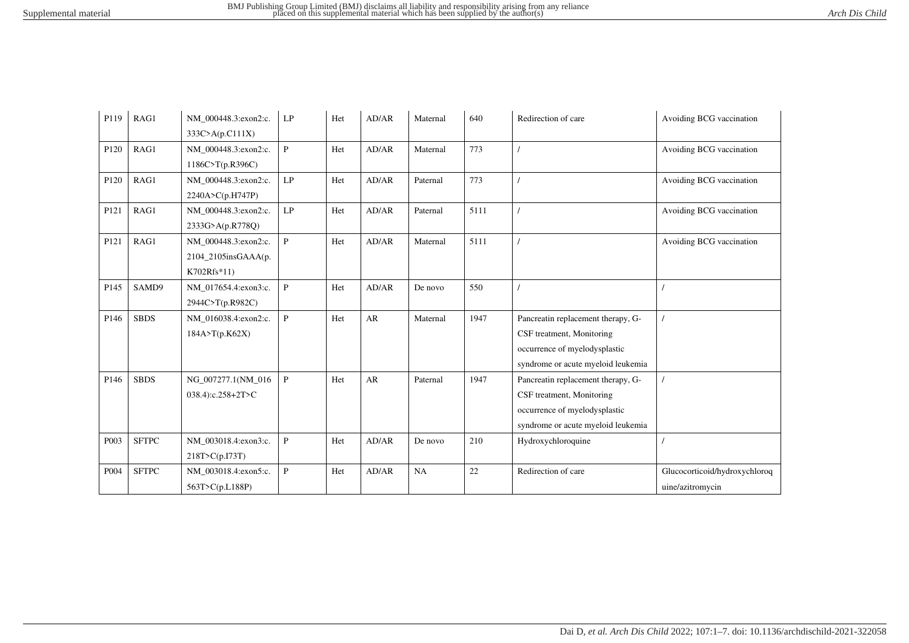| P119             | RAG1         | NM 000448.3:exon2:c.    | LP           | Het | AD/AR | Maternal | 640  | Redirection of care                | Avoiding BCG vaccination      |
|------------------|--------------|-------------------------|--------------|-----|-------|----------|------|------------------------------------|-------------------------------|
|                  |              | 333C>A(p.C111X)         |              |     |       |          |      |                                    |                               |
| P120             | RAG1         | NM 000448.3:exon2:c.    | $\mathbf{P}$ | Het | AD/AR | Maternal | 773  |                                    | Avoiding BCG vaccination      |
|                  |              | 1186C>T(p.R396C)        |              |     |       |          |      |                                    |                               |
| P120             | RAG1         | NM 000448.3:exon2:c.    | LP           | Het | AD/AR | Paternal | 773  |                                    | Avoiding BCG vaccination      |
|                  |              | 2240A>C(p.H747P)        |              |     |       |          |      |                                    |                               |
| P121             | RAG1         | NM 000448.3:exon2:c.    | LP           | Het | AD/AR | Paternal | 5111 |                                    | Avoiding BCG vaccination      |
|                  |              | 2333G>A(p.R778Q)        |              |     |       |          |      |                                    |                               |
| P121             | RAG1         | NM_000448.3:exon2:c.    | $\mathbf{P}$ | Het | AD/AR | Maternal | 5111 |                                    | Avoiding BCG vaccination      |
|                  |              | $2104\_2105$ insGAAA(p. |              |     |       |          |      |                                    |                               |
|                  |              | K702Rfs*11)             |              |     |       |          |      |                                    |                               |
| P145             | SAMD9        | NM_017654.4:exon3:c.    | $\mathbf{P}$ | Het | AD/AR | De novo  | 550  |                                    |                               |
|                  |              | 2944C>T(p.R982C)        |              |     |       |          |      |                                    |                               |
| P146             | <b>SBDS</b>  | NM_016038.4:exon2:c.    | $\mathbf{P}$ | Het | AR    | Maternal | 1947 | Pancreatin replacement therapy, G- |                               |
|                  |              | 184A > T(p.K62X)        |              |     |       |          |      | CSF treatment, Monitoring          |                               |
|                  |              |                         |              |     |       |          |      | occurrence of myelodysplastic      |                               |
|                  |              |                         |              |     |       |          |      | syndrome or acute myeloid leukemia |                               |
| P <sub>146</sub> | <b>SBDS</b>  | NG 007277.1(NM 016      | $\mathbf{P}$ | Het | AR    | Paternal | 1947 | Pancreatin replacement therapy, G- |                               |
|                  |              | 038.4):c.258+2T>C       |              |     |       |          |      | CSF treatment, Monitoring          |                               |
|                  |              |                         |              |     |       |          |      | occurrence of myelodysplastic      |                               |
|                  |              |                         |              |     |       |          |      | syndrome or acute myeloid leukemia |                               |
| P003             | <b>SFTPC</b> | NM_003018.4:exon3:c.    | $\mathbf{P}$ | Het | AD/AR | De novo  | 210  | Hydroxychloroquine                 |                               |
|                  |              | 218T>C(p.I73T)          |              |     |       |          |      |                                    |                               |
| P004             | <b>SFTPC</b> | NM_003018.4:exon5:c.    | P            | Het | AD/AR | NA       | 22   | Redirection of care                | Glucocorticoid/hydroxychloroq |
|                  |              | 563T>C(p.L188P)         |              |     |       |          |      |                                    | uine/azitromycin              |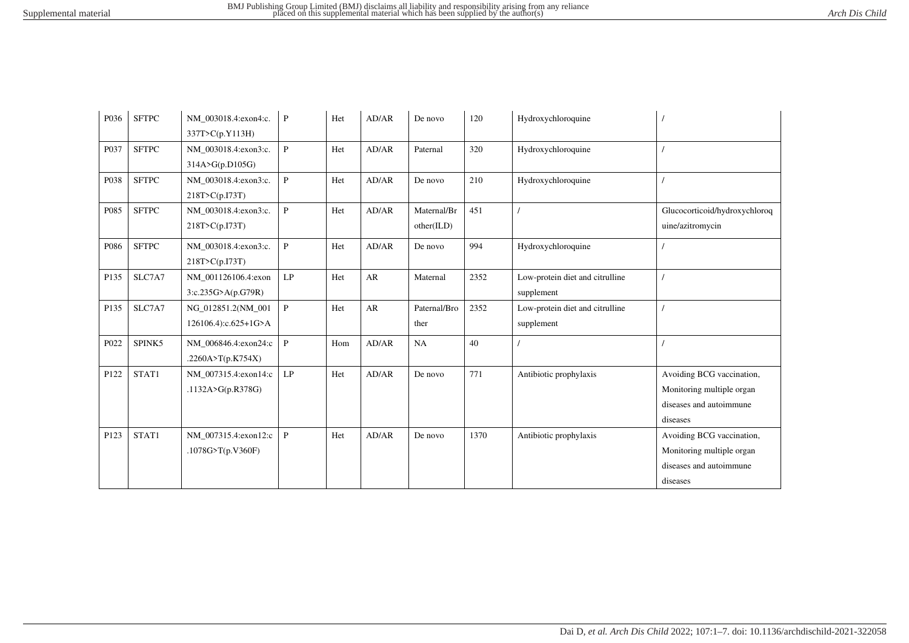| P036 | <b>SFTPC</b> | NM 003018.4:exon4:c. | P             | Het | AD/AR | De novo      | 120  | Hydroxychloroquine              |                               |
|------|--------------|----------------------|---------------|-----|-------|--------------|------|---------------------------------|-------------------------------|
|      |              | 337T>C(p.Y113H)      |               |     |       |              |      |                                 |                               |
| P037 | <b>SFTPC</b> | NM_003018.4:exon3:c. | $\mathbf{P}$  | Het | AD/AR | Paternal     | 320  | Hydroxychloroquine              |                               |
|      |              | 314A>G(p.D105G)      |               |     |       |              |      |                                 |                               |
| P038 | <b>SFTPC</b> | NM_003018.4:exon3:c. | $\mathbf{P}$  | Het | AD/AR | De novo      | 210  | Hydroxychloroquine              |                               |
|      |              | 218T>C(p.I73T)       |               |     |       |              |      |                                 |                               |
| P085 | <b>SFTPC</b> | NM 003018.4:exon3:c. | $\mathbf{P}$  | Het | AD/AR | Maternal/Br  | 451  |                                 | Glucocorticoid/hydroxychloroq |
|      |              | 218T>C(p.I73T)       |               |     |       | other(ILD)   |      |                                 | uine/azitromycin              |
| P086 | <b>SFTPC</b> | NM 003018.4:exon3:c. | $\mathbf{P}$  | Het | AD/AR | De novo      | 994  | Hydroxychloroquine              |                               |
|      |              | 218T>C(p.I73T)       |               |     |       |              |      |                                 |                               |
| P135 | SLC7A7       | NM_001126106.4:exon  | LP            | Het | AR    | Maternal     | 2352 | Low-protein diet and citrulline |                               |
|      |              | 3:c.235G>A(p.G79R)   |               |     |       |              |      | supplement                      |                               |
| P135 | SLC7A7       | NG_012851.2(NM_001   | $\mathbf{P}$  | Het | AR    | Paternal/Bro | 2352 | Low-protein diet and citrulline |                               |
|      |              | 126106.4):c.625+1G>A |               |     |       | ther         |      | supplement                      |                               |
| P022 | SPINK5       | NM 006846.4:exon24:c | $\, {\bf P}$  | Hom | AD/AR | NA           | 40   |                                 |                               |
|      |              | .2260A>T(p.K754X)    |               |     |       |              |      |                                 |                               |
| P122 | STAT1        | NM_007315.4:exon14:c | $\mathrm{LP}$ | Het | AD/AR | De novo      | 771  | Antibiotic prophylaxis          | Avoiding BCG vaccination,     |
|      |              | .1132A>G(p.R378G)    |               |     |       |              |      |                                 | Monitoring multiple organ     |
|      |              |                      |               |     |       |              |      |                                 | diseases and autoimmune       |
|      |              |                      |               |     |       |              |      |                                 | diseases                      |
| P123 | STAT1        | NM 007315.4:exon12:c | $\, {\bf P}$  | Het | AD/AR | De novo      | 1370 | Antibiotic prophylaxis          | Avoiding BCG vaccination,     |
|      |              | .1078G>T(p.V360F)    |               |     |       |              |      |                                 | Monitoring multiple organ     |
|      |              |                      |               |     |       |              |      |                                 | diseases and autoimmune       |
|      |              |                      |               |     |       |              |      |                                 | diseases                      |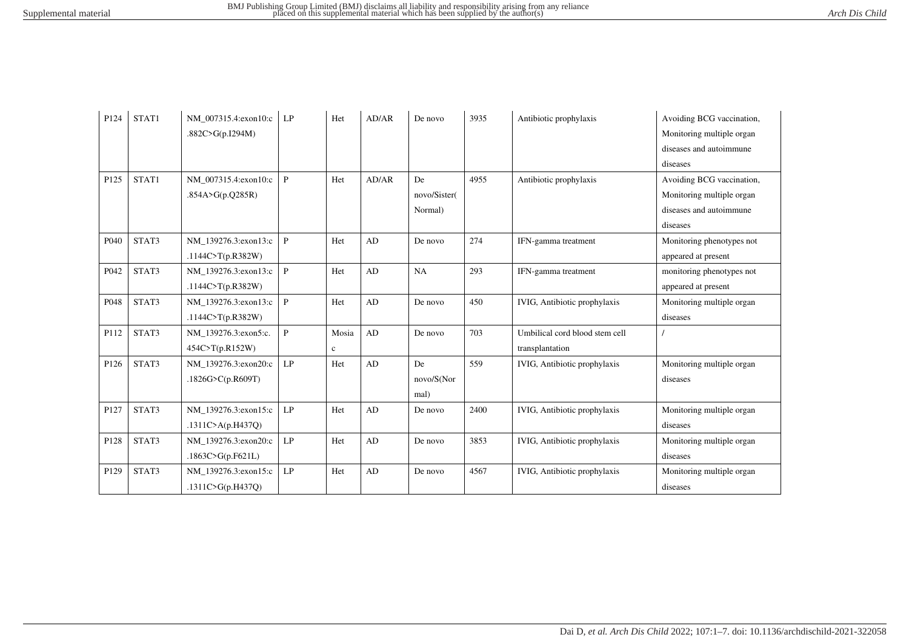| P124 | STAT1 | NM 007315.4:exon10:c | LP           | Het         | AD/AR | De novo      | 3935 | Antibiotic prophylaxis              | Avoiding BCG vaccination, |
|------|-------|----------------------|--------------|-------------|-------|--------------|------|-------------------------------------|---------------------------|
|      |       | .882C>G(p.I294M)     |              |             |       |              |      |                                     | Monitoring multiple organ |
|      |       |                      |              |             |       |              |      |                                     | diseases and autoimmune   |
|      |       |                      |              |             |       |              |      |                                     | diseases                  |
| P125 | STAT1 | NM 007315.4:exon10:c | $\, {\bf P}$ | Het         | AD/AR | De           | 4955 | Antibiotic prophylaxis              | Avoiding BCG vaccination, |
|      |       | .854A>G(p.Q285R)     |              |             |       | novo/Sister( |      |                                     | Monitoring multiple organ |
|      |       |                      |              |             |       | Normal)      |      |                                     | diseases and autoimmune   |
|      |       |                      |              |             |       |              |      |                                     | diseases                  |
| P040 | STAT3 | NM 139276.3:exon13:c | $\mathbf{P}$ | Het         | AD    | De novo      | 274  | IFN-gamma treatment                 | Monitoring phenotypes not |
|      |       | .1144C>T(p.R382W)    |              |             |       |              |      |                                     | appeared at present       |
| P042 | STAT3 | NM 139276.3:exon13:c | $\mathbf{P}$ | Het         | AD    | NA           | 293  | IFN-gamma treatment                 | monitoring phenotypes not |
|      |       | .1144C>T(p.R382W)    |              |             |       |              |      |                                     | appeared at present       |
| P048 | STAT3 | NM 139276.3:exon13:c | $\mathbf{P}$ | Het         | AD    | De novo      | 450  | IVIG, Antibiotic prophylaxis        | Monitoring multiple organ |
|      |       | .1144C>T(p.R382W)    |              |             |       |              |      |                                     | diseases                  |
| P112 | STAT3 | NM 139276.3:exon5:c. | $\mathbf{P}$ | Mosia       | AD    | De novo      | 703  | Umbilical cord blood stem cell      |                           |
|      |       | 454C>T(p.R152W)      |              | $\mathbf c$ |       |              |      | transplantation                     |                           |
| P126 | STAT3 | NM 139276.3:exon20:c | LP           | Het         | AD    | De           | 559  | IVIG, Antibiotic prophylaxis        | Monitoring multiple organ |
|      |       | .1826G>C(p.R609T)    |              |             |       | novo/S(Nor   |      |                                     | diseases                  |
|      |       |                      |              |             |       | mal)         |      |                                     |                           |
| P127 | STAT3 | NM 139276.3:exon15:c | LP           | Het         | AD    | De novo      | 2400 | IVIG, Antibiotic prophylaxis        | Monitoring multiple organ |
|      |       | .1311C>A(p.H437Q)    |              |             |       |              |      |                                     | diseases                  |
| P128 | STAT3 | NM 139276.3:exon20:c | LP           | Het         | AD    | De novo      | 3853 | <b>IVIG, Antibiotic prophylaxis</b> | Monitoring multiple organ |
|      |       | .1863C>G(p.F621L)    |              |             |       |              |      |                                     | diseases                  |
| P129 | STAT3 | NM 139276.3:exon15:c | LP           | Het         | AD    | De novo      | 4567 | <b>IVIG, Antibiotic prophylaxis</b> | Monitoring multiple organ |
|      |       | .1311C>G(p.H437Q)    |              |             |       |              |      |                                     | diseases                  |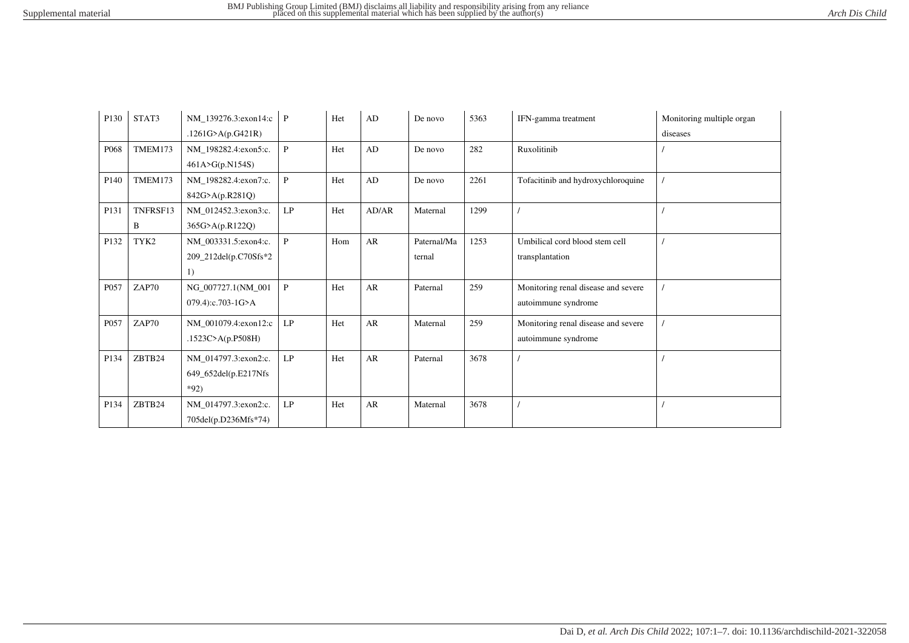| P130             | STAT3         | NM_139276.3:exon14:c P<br>.1261G>A(p.G421R)            |               | Het | $\mathbf{A}\mathbf{D}$ | De novo               | 5363 | IFN-gamma treatment                                        | Monitoring multiple organ<br>diseases |
|------------------|---------------|--------------------------------------------------------|---------------|-----|------------------------|-----------------------|------|------------------------------------------------------------|---------------------------------------|
| P068             | TMEM173       | NM_198282.4:exon5:c.<br>461A>G(p.N154S)                | $\mathsf{P}$  | Het | AD                     | De novo               | 282  | Ruxolitinib                                                |                                       |
| P <sub>140</sub> | TMEM173       | NM_198282.4:exon7:c.<br>842G>A(p.R281Q)                | $\mathbf{P}$  | Het | AD                     | De novo               | 2261 | Tofacitinib and hydroxychloroquine                         |                                       |
| P131             | TNFRSF13<br>B | NM 012452.3:exon3:c.<br>365G>A(p.R122Q)                | LP            | Het | AD/AR                  | Maternal              | 1299 |                                                            |                                       |
| P132             | TYK2          | NM_003331.5:exon4:c.<br>209_212del(p.C70Sfs*2<br>1)    | $\mathsf{P}$  | Hom | AR                     | Paternal/Ma<br>ternal | 1253 | Umbilical cord blood stem cell<br>transplantation          |                                       |
| P057             | ZAP70         | NG 007727.1(NM 001<br>079.4):c.703-1G>A                | $\mathsf{P}$  | Het | AR                     | Paternal              | 259  | Monitoring renal disease and severe<br>autoimmune syndrome |                                       |
| P057             | ZAP70         | NM_001079.4:exon12:c<br>.1523C>A(p.P508H)              | LP            | Het | AR                     | Maternal              | 259  | Monitoring renal disease and severe<br>autoimmune syndrome |                                       |
| P134             | ZBTB24        | NM_014797.3:exon2:c.<br>649_652del(p.E217Nfs<br>$*92)$ | $\mathrm{LP}$ | Het | AR                     | Paternal              | 3678 |                                                            |                                       |
| P134             | ZBTB24        | NM_014797.3:exon2:c.<br>705del(p.D236Mfs*74)           | LP            | Het | AR                     | Maternal              | 3678 |                                                            |                                       |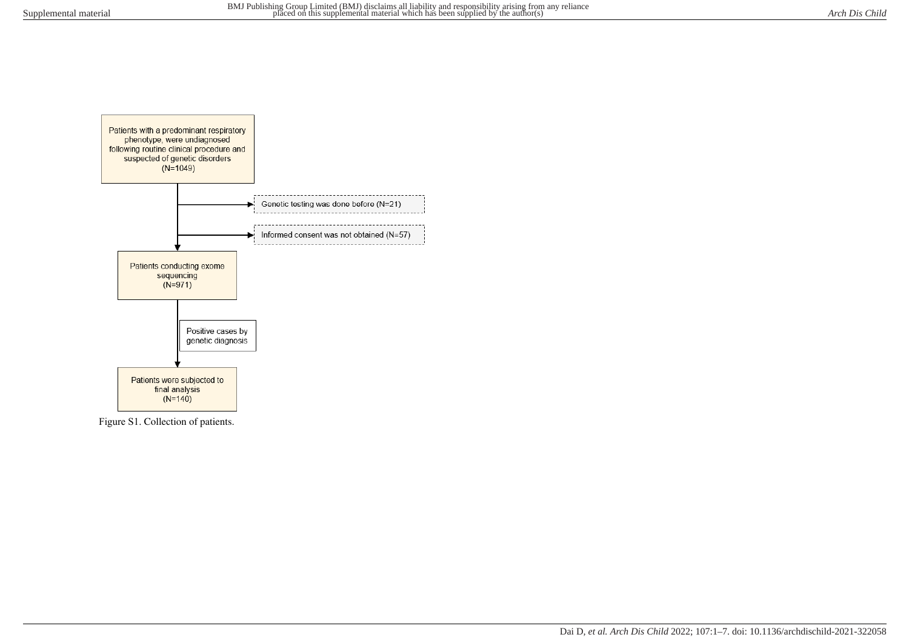

Figure S1. Collection of patients.